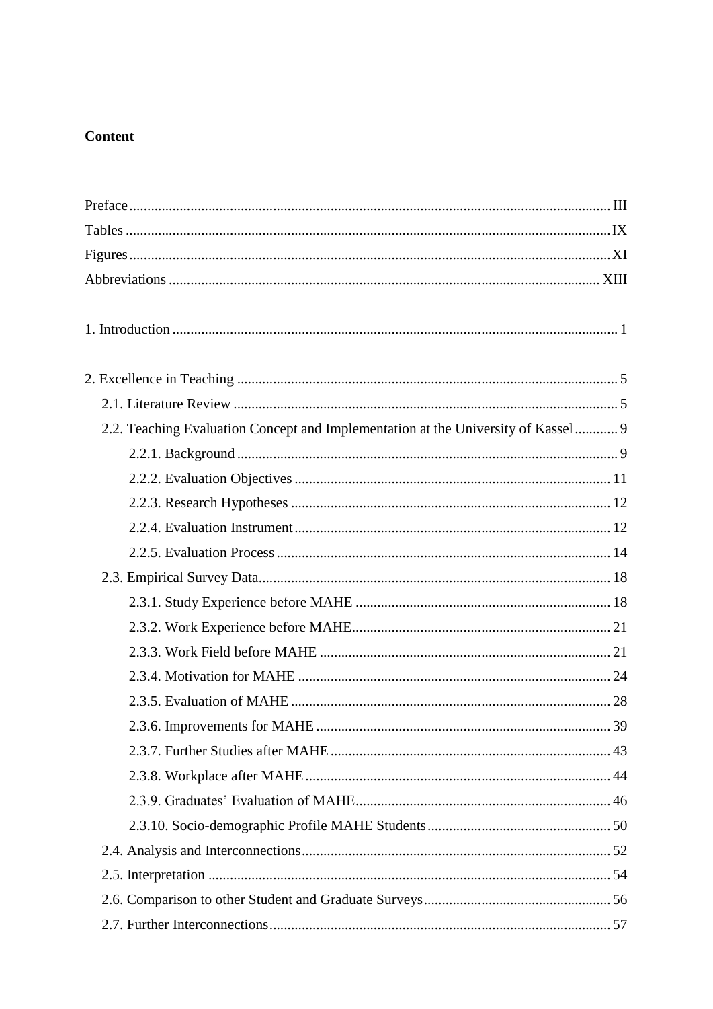## **Content**

| 2.2. Teaching Evaluation Concept and Implementation at the University of Kassel 9 |  |
|-----------------------------------------------------------------------------------|--|
|                                                                                   |  |
|                                                                                   |  |
|                                                                                   |  |
|                                                                                   |  |
|                                                                                   |  |
|                                                                                   |  |
|                                                                                   |  |
|                                                                                   |  |
|                                                                                   |  |
|                                                                                   |  |
|                                                                                   |  |
|                                                                                   |  |
|                                                                                   |  |
|                                                                                   |  |
|                                                                                   |  |
|                                                                                   |  |
|                                                                                   |  |
|                                                                                   |  |
|                                                                                   |  |
|                                                                                   |  |